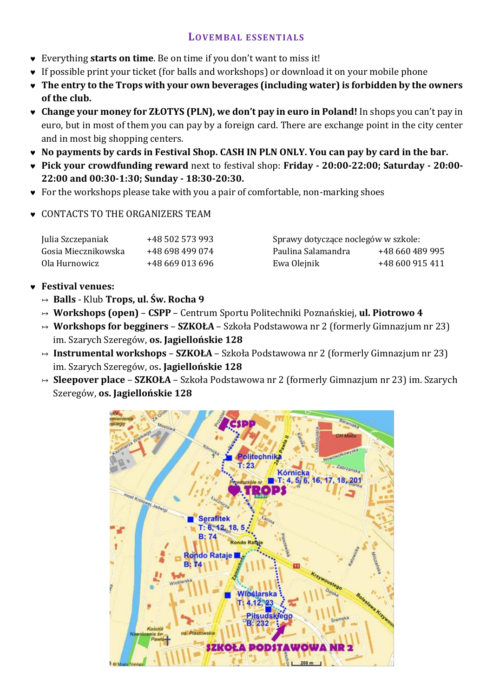## **LOVEMBAL ESSENTIALS**

- Everything **starts on time**. Be on time if you don't want to miss it!
- If possible print your ticket (for balls and workshops) or download it on your mobile phone
- **The entry to the Trops with your own beverages (including water) is forbidden by the owners of the club.**
- **Change your money for ZŁOTYS (PLN), we don't pay in euro in Poland!** In shops you can't pay in euro, but in most of them you can pay by a foreign card. There are exchange point in the city center and in most big shopping centers.
- **No payments by cards in Festival Shop. CASH IN PLN ONLY. You can pay by card in the bar.**
- **Pick your crowdfunding reward** next to festival shop: **Friday - 20:00-22:00; Saturday - 20:00- 22:00 and 00:30-1:30; Sunday - 18:30-20:30.**
- For the workshops please take with you a pair of comfortable, non-marking shoes
- CONTACTS TO THE ORGANIZERS TEAM

| Julia Szczepaniak   | +48 502 573 993 | Sprawy dotyczące noclegów w szkole: |                 |
|---------------------|-----------------|-------------------------------------|-----------------|
| Gosia Miecznikowska | +48 698 499 074 | Paulina Salamandra                  | +48 660 489 995 |
| Ola Hurnowicz       | +48 669 013 696 | Ewa Olejnik                         | +48 600 915 411 |

## **Festival venues:**

- ↣ **Balls** Klub **Trops, ul. Św. Rocha 9**
- ↣ **Workshops (open) CSPP** Centrum Sportu Politechniki Poznańskiej, **ul. Piotrowo 4**
- ↣ **Workshops for begginers SZKOŁA** Szkoła Podstawowa nr 2 (formerly Gimnazjum nr 23) im. Szarych Szeregów, **os. Jagiellońskie 128**
- ↣ **Instrumental workshops SZKOŁA** Szkoła Podstawowa nr 2 (formerly Gimnazjum nr 23) im. Szarych Szeregów, os**. Jagiellońskie 128**
- ↣ **Sleepover place SZKOŁA** Szkoła Podstawowa nr 2 (formerly Gimnazjum nr 23) im. Szarych Szeregów, **os. Jagiellońskie 128**